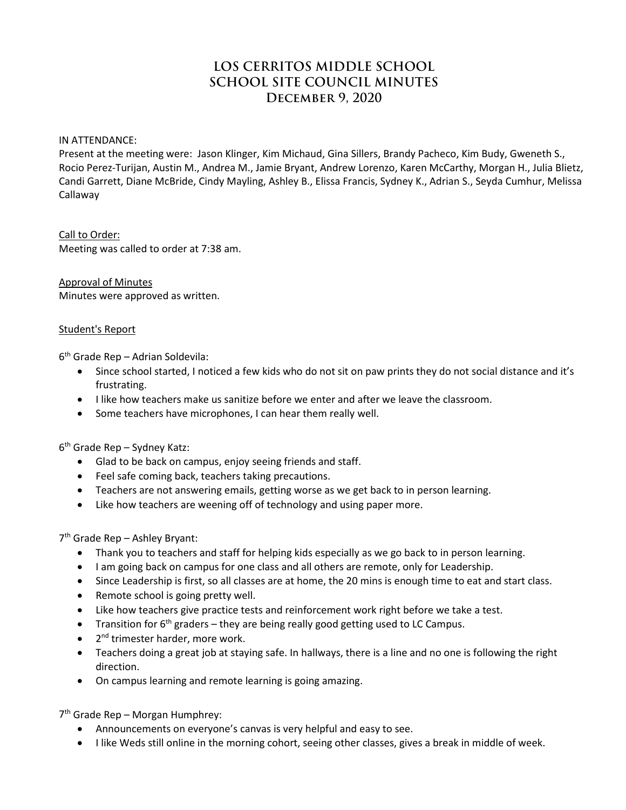# **LOS CERRITOS MIDDLE SCHOOL SCHOOL SITE COUNCIL MINUTES December 9, 2020**

IN ATTENDANCE:

Present at the meeting were: Jason Klinger, Kim Michaud, Gina Sillers, Brandy Pacheco, Kim Budy, Gweneth S., Rocio Perez-Turijan, Austin M., Andrea M., Jamie Bryant, Andrew Lorenzo, Karen McCarthy, Morgan H., Julia Blietz, Candi Garrett, Diane McBride, Cindy Mayling, Ashley B., Elissa Francis, Sydney K., Adrian S., Seyda Cumhur, Melissa Callaway

Call to Order: Meeting was called to order at 7:38 am.

Approval of Minutes Minutes were approved as written.

## Student's Report

6th Grade Rep – Adrian Soldevila:

- Since school started, I noticed a few kids who do not sit on paw prints they do not social distance and it's frustrating.
- I like how teachers make us sanitize before we enter and after we leave the classroom.
- Some teachers have microphones, I can hear them really well.

 $6<sup>th</sup>$  Grade Rep – Sydney Katz:

- Glad to be back on campus, enjoy seeing friends and staff.
- Feel safe coming back, teachers taking precautions.
- Teachers are not answering emails, getting worse as we get back to in person learning.
- Like how teachers are weening off of technology and using paper more.

7th Grade Rep – Ashley Bryant:

- Thank you to teachers and staff for helping kids especially as we go back to in person learning.
- I am going back on campus for one class and all others are remote, only for Leadership.
- Since Leadership is first, so all classes are at home, the 20 mins is enough time to eat and start class.
- Remote school is going pretty well.
- Like how teachers give practice tests and reinforcement work right before we take a test.
- Transition for  $6<sup>th</sup>$  graders they are being really good getting used to LC Campus.
- 2<sup>nd</sup> trimester harder, more work.
- Teachers doing a great job at staying safe. In hallways, there is a line and no one is following the right direction.
- On campus learning and remote learning is going amazing.

7th Grade Rep – Morgan Humphrey:

- Announcements on everyone's canvas is very helpful and easy to see.
- I like Weds still online in the morning cohort, seeing other classes, gives a break in middle of week.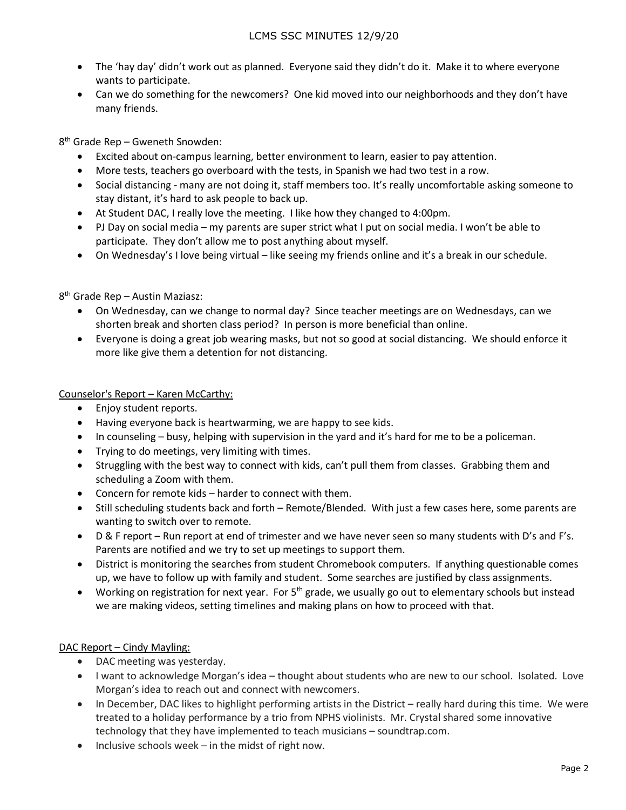- The 'hay day' didn't work out as planned. Everyone said they didn't do it. Make it to where everyone wants to participate.
- Can we do something for the newcomers? One kid moved into our neighborhoods and they don't have many friends.

8th Grade Rep – Gweneth Snowden:

- Excited about on-campus learning, better environment to learn, easier to pay attention.
- More tests, teachers go overboard with the tests, in Spanish we had two test in a row.
- Social distancing many are not doing it, staff members too. It's really uncomfortable asking someone to stay distant, it's hard to ask people to back up.
- At Student DAC, I really love the meeting. I like how they changed to 4:00pm.
- PJ Day on social media my parents are super strict what I put on social media. I won't be able to participate. They don't allow me to post anything about myself.
- On Wednesday's I love being virtual like seeing my friends online and it's a break in our schedule.

## 8th Grade Rep – Austin Maziasz:

- On Wednesday, can we change to normal day? Since teacher meetings are on Wednesdays, can we shorten break and shorten class period? In person is more beneficial than online.
- Everyone is doing a great job wearing masks, but not so good at social distancing. We should enforce it more like give them a detention for not distancing.

## Counselor's Report – Karen McCarthy:

- Enjoy student reports.
- Having everyone back is heartwarming, we are happy to see kids.
- In counseling busy, helping with supervision in the yard and it's hard for me to be a policeman.
- Trying to do meetings, very limiting with times.
- Struggling with the best way to connect with kids, can't pull them from classes. Grabbing them and scheduling a Zoom with them.
- Concern for remote kids harder to connect with them.
- Still scheduling students back and forth Remote/Blended. With just a few cases here, some parents are wanting to switch over to remote.
- D & F report Run report at end of trimester and we have never seen so many students with D's and F's. Parents are notified and we try to set up meetings to support them.
- District is monitoring the searches from student Chromebook computers. If anything questionable comes up, we have to follow up with family and student. Some searches are justified by class assignments.
- Working on registration for next year. For  $5<sup>th</sup>$  grade, we usually go out to elementary schools but instead we are making videos, setting timelines and making plans on how to proceed with that.

## DAC Report – Cindy Mayling:

- DAC meeting was yesterday.
- I want to acknowledge Morgan's idea thought about students who are new to our school. Isolated. Love Morgan's idea to reach out and connect with newcomers.
- In December, DAC likes to highlight performing artists in the District really hard during this time. We were treated to a holiday performance by a trio from NPHS violinists. Mr. Crystal shared some innovative technology that they have implemented to teach musicians – soundtrap.com.
- Inclusive schools week in the midst of right now.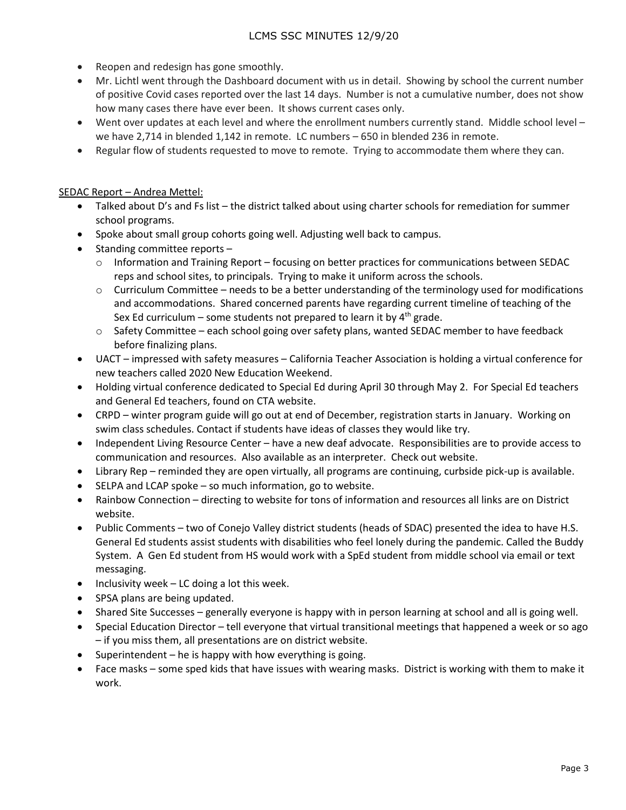- Reopen and redesign has gone smoothly.
- Mr. Lichtl went through the Dashboard document with us in detail. Showing by school the current number of positive Covid cases reported over the last 14 days. Number is not a cumulative number, does not show how many cases there have ever been. It shows current cases only.
- Went over updates at each level and where the enrollment numbers currently stand. Middle school level we have 2,714 in blended 1,142 in remote. LC numbers – 650 in blended 236 in remote.
- Regular flow of students requested to move to remote. Trying to accommodate them where they can.

## SEDAC Report – Andrea Mettel:

- Talked about D's and Fs list the district talked about using charter schools for remediation for summer school programs.
- Spoke about small group cohorts going well. Adjusting well back to campus.
- Standing committee reports
	- o Information and Training Report focusing on better practices for communications between SEDAC reps and school sites, to principals. Trying to make it uniform across the schools.
	- $\circ$  Curriculum Committee needs to be a better understanding of the terminology used for modifications and accommodations. Shared concerned parents have regarding current timeline of teaching of the Sex Ed curriculum – some students not prepared to learn it by  $4<sup>th</sup>$  grade.
	- $\circ$  Safety Committee each school going over safety plans, wanted SEDAC member to have feedback before finalizing plans.
- UACT impressed with safety measures California Teacher Association is holding a virtual conference for new teachers called 2020 New Education Weekend.
- Holding virtual conference dedicated to Special Ed during April 30 through May 2. For Special Ed teachers and General Ed teachers, found on CTA website.
- CRPD winter program guide will go out at end of December, registration starts in January. Working on swim class schedules. Contact if students have ideas of classes they would like try.
- Independent Living Resource Center have a new deaf advocate. Responsibilities are to provide access to communication and resources. Also available as an interpreter. Check out website.
- Library Rep reminded they are open virtually, all programs are continuing, curbside pick-up is available.
- SELPA and LCAP spoke so much information, go to website.
- Rainbow Connection directing to website for tons of information and resources all links are on District website.
- Public Comments two of Conejo Valley district students (heads of SDAC) presented the idea to have H.S. General Ed students assist students with disabilities who feel lonely during the pandemic. Called the Buddy System. A Gen Ed student from HS would work with a SpEd student from middle school via email or text messaging.
- Inclusivity week LC doing a lot this week.
- SPSA plans are being updated.
- Shared Site Successes generally everyone is happy with in person learning at school and all is going well.
- Special Education Director tell everyone that virtual transitional meetings that happened a week or so ago – if you miss them, all presentations are on district website.
- Superintendent he is happy with how everything is going.
- Face masks some sped kids that have issues with wearing masks. District is working with them to make it work.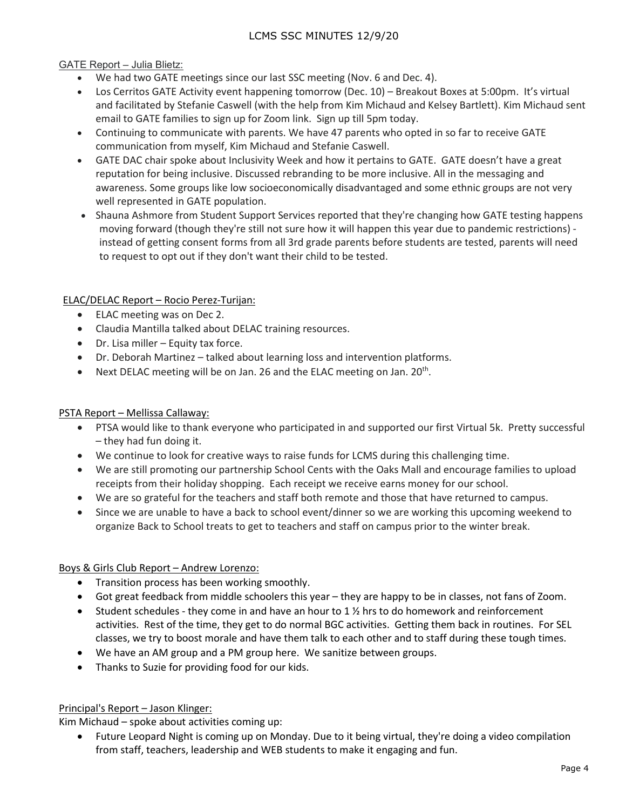## GATE Report – Julia Blietz:

- We had two GATE meetings since our last SSC meeting (Nov. 6 and Dec. 4).
- Los Cerritos GATE Activity event happening tomorrow (Dec. 10) Breakout Boxes at 5:00pm. It's virtual and facilitated by Stefanie Caswell (with the help from Kim Michaud and Kelsey Bartlett). Kim Michaud sent email to GATE families to sign up for Zoom link. Sign up till 5pm today.
- Continuing to communicate with parents. We have 47 parents who opted in so far to receive GATE communication from myself, Kim Michaud and Stefanie Caswell.
- GATE DAC chair spoke about Inclusivity Week and how it pertains to GATE. GATE doesn't have a great reputation for being inclusive. Discussed rebranding to be more inclusive. All in the messaging and awareness. Some groups like low socioeconomically disadvantaged and some ethnic groups are not very well represented in GATE population.
- Shauna Ashmore from Student Support Services reported that they're changing how GATE testing happens moving forward (though they're still not sure how it will happen this year due to pandemic restrictions) instead of getting consent forms from all 3rd grade parents before students are tested, parents will need to request to opt out if they don't want their child to be tested.

## ELAC/DELAC Report – Rocio Perez-Turijan:

- ELAC meeting was on Dec 2.
- Claudia Mantilla talked about DELAC training resources.
- Dr. Lisa miller Equity tax force.
- Dr. Deborah Martinez talked about learning loss and intervention platforms.
- Next DELAC meeting will be on Jan. 26 and the ELAC meeting on Jan. 20<sup>th</sup>.

## PSTA Report – Mellissa Callaway:

- PTSA would like to thank everyone who participated in and supported our first Virtual 5k. Pretty successful – they had fun doing it.
- We continue to look for creative ways to raise funds for LCMS during this challenging time.
- We are still promoting our partnership School Cents with the Oaks Mall and encourage families to upload receipts from their holiday shopping. Each receipt we receive earns money for our school.
- We are so grateful for the teachers and staff both remote and those that have returned to campus.
- Since we are unable to have a back to school event/dinner so we are working this upcoming weekend to organize Back to School treats to get to teachers and staff on campus prior to the winter break.

## Boys & Girls Club Report – Andrew Lorenzo:

- Transition process has been working smoothly.
- Got great feedback from middle schoolers this year they are happy to be in classes, not fans of Zoom.
- Student schedules they come in and have an hour to 1  $\frac{1}{2}$  hrs to do homework and reinforcement activities. Rest of the time, they get to do normal BGC activities. Getting them back in routines. For SEL classes, we try to boost morale and have them talk to each other and to staff during these tough times.
- We have an AM group and a PM group here. We sanitize between groups.
- Thanks to Suzie for providing food for our kids.

## Principal's Report – Jason Klinger:

Kim Michaud – spoke about activities coming up:

• Future Leopard Night is coming up on Monday. Due to it being virtual, they're doing a video compilation from staff, teachers, leadership and WEB students to make it engaging and fun.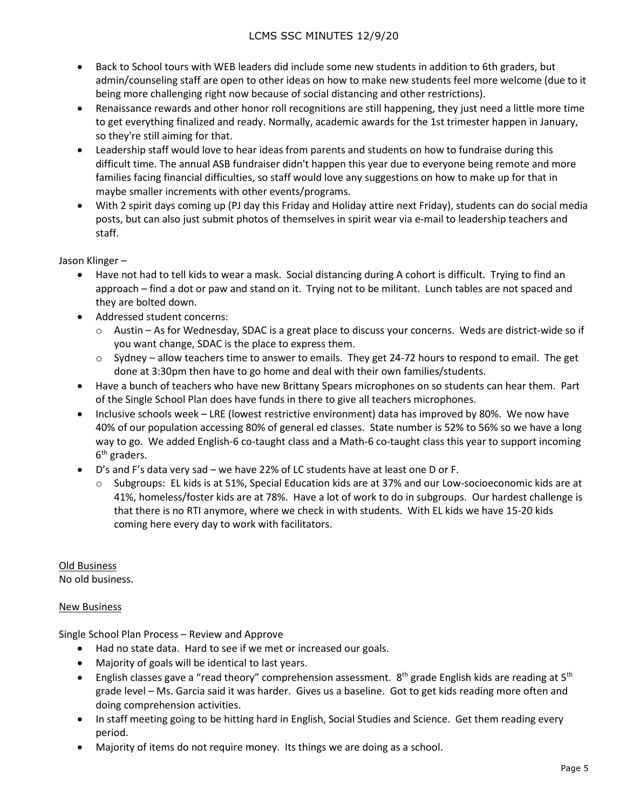- Back to School tours with WEB leaders did include some new students in addition to 6th graders, but admin/counseling staff are open to other ideas on how to make new students feel more welcome (due to it being more challenging right now because of social distancing and other restrictions).
- Renaissance rewards and other honor roll recognitions are still happening, they just need a little more time to get everything finalized and ready. Normally, academic awards for the 1st trimester happen in January, so they're still aiming for that.
- Leadership staff would love to hear ideas from parents and students on how to fundraise during this difficult time. The annual ASB fundraiser didn't happen this year due to everyone being remote and more families facing financial difficulties, so staff would love any suggestions on how to make up for that in maybe smaller increments with other events/programs.
- With 2 spirit days coming up (PJ day this Friday and Holiday attire next Friday), students can do social media posts, but can also just submit photos of themselves in spirit wear via e-mail to leadership teachers and staff.

Jason Klinger –

- Have not had to tell kids to wear a mask. Social distancing during A cohort is difficult. Trying to find an approach – find a dot or paw and stand on it. Trying not to be militant. Lunch tables are not spaced and they are bolted down.
- Addressed student concerns:
	- $\circ$  Austin As for Wednesday, SDAC is a great place to discuss your concerns. Weds are district-wide so if you want change, SDAC is the place to express them.
	- $\circ$  Sydney allow teachers time to answer to emails. They get 24-72 hours to respond to email. The get done at 3:30pm then have to go home and deal with their own families/students.
- Have a bunch of teachers who have new Brittany Spears microphones on so students can hear them. Part of the Single School Plan does have funds in there to give all teachers microphones.
- Inclusive schools week LRE (lowest restrictive environment) data has improved by 80%. We now have 40% of our population accessing 80% of general ed classes. State number is 52% to 56% so we have a long way to go. We added English-6 co-taught class and a Math-6 co-taught class this year to support incoming  $6<sup>th</sup>$  graders.
- D's and F's data very sad we have 22% of LC students have at least one D or F.
	- o Subgroups: EL kids is at 51%, Special Education kids are at 37% and our Low-socioeconomic kids are at 41%, homeless/foster kids are at 78%. Have a lot of work to do in subgroups. Our hardest challenge is that there is no RTI anymore, where we check in with students. With EL kids we have 15-20 kids coming here every day to work with facilitators.

Old Business No old business.

## New Business

Single School Plan Process – Review and Approve

- Had no state data. Hard to see if we met or increased our goals.
- Majority of goals will be identical to last years.
- English classes gave a "read theory" comprehension assessment.  $8<sup>th</sup>$  grade English kids are reading at  $5<sup>th</sup>$ grade level – Ms. Garcia said it was harder. Gives us a baseline. Got to get kids reading more often and doing comprehension activities.
- In staff meeting going to be hitting hard in English, Social Studies and Science. Get them reading every period.
- Majority of items do not require money. Its things we are doing as a school.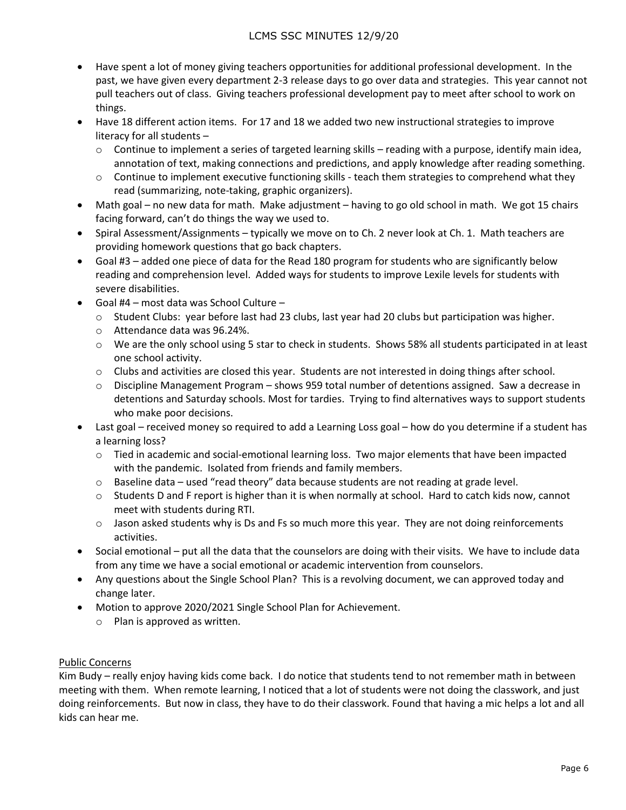- Have spent a lot of money giving teachers opportunities for additional professional development. In the past, we have given every department 2-3 release days to go over data and strategies. This year cannot not pull teachers out of class. Giving teachers professional development pay to meet after school to work on things.
- Have 18 different action items. For 17 and 18 we added two new instructional strategies to improve literacy for all students –
	- $\circ$  Continue to implement a series of targeted learning skills reading with a purpose, identify main idea, annotation of text, making connections and predictions, and apply knowledge after reading something.
	- $\circ$  Continue to implement executive functioning skills teach them strategies to comprehend what they read (summarizing, note-taking, graphic organizers).
- Math goal no new data for math. Make adjustment having to go old school in math. We got 15 chairs facing forward, can't do things the way we used to.
- Spiral Assessment/Assignments typically we move on to Ch. 2 never look at Ch. 1. Math teachers are providing homework questions that go back chapters.
- Goal #3 added one piece of data for the Read 180 program for students who are significantly below reading and comprehension level. Added ways for students to improve Lexile levels for students with severe disabilities.
- Goal #4 most data was School Culture
	- $\circ$  Student Clubs: year before last had 23 clubs, last year had 20 clubs but participation was higher.
	- o Attendance data was 96.24%.
	- o We are the only school using 5 star to check in students. Shows 58% all students participated in at least one school activity.
	- o Clubs and activities are closed this year. Students are not interested in doing things after school.
	- $\circ$  Discipline Management Program shows 959 total number of detentions assigned. Saw a decrease in detentions and Saturday schools. Most for tardies. Trying to find alternatives ways to support students who make poor decisions.
- Last goal received money so required to add a Learning Loss goal how do you determine if a student has a learning loss?
	- o Tied in academic and social-emotional learning loss. Two major elements that have been impacted with the pandemic. Isolated from friends and family members.
	- o Baseline data used "read theory" data because students are not reading at grade level.
	- $\circ$  Students D and F report is higher than it is when normally at school. Hard to catch kids now, cannot meet with students during RTI.
	- $\circ$  Jason asked students why is Ds and Fs so much more this year. They are not doing reinforcements activities.
- Social emotional put all the data that the counselors are doing with their visits. We have to include data from any time we have a social emotional or academic intervention from counselors.
- Any questions about the Single School Plan? This is a revolving document, we can approved today and change later.
- Motion to approve 2020/2021 Single School Plan for Achievement.
	- o Plan is approved as written.

## Public Concerns

Kim Budy – really enjoy having kids come back. I do notice that students tend to not remember math in between meeting with them. When remote learning, I noticed that a lot of students were not doing the classwork, and just doing reinforcements. But now in class, they have to do their classwork. Found that having a mic helps a lot and all kids can hear me.